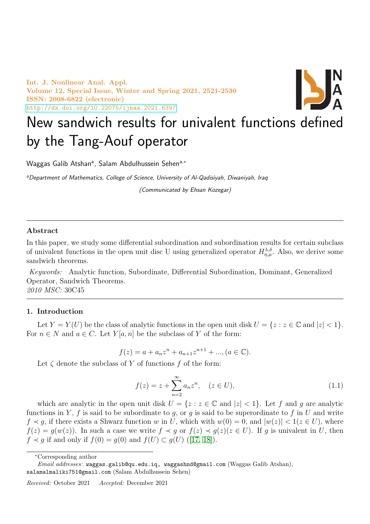Int. J. Nonlinear Anal. Appl. Volume 12, Special Issue, Winter and Spring 2021, 2521-2530 ISSN: 2008-6822 (electronic) <http://dx.doi.org/10.22075/ijnaa.2021.6397>



# New sandwich results for univalent functions defined by the Tang-Aouf operator

Waggas Galib Atshan<sup>a</sup>, Salam Abdulhussein Sehen<sup>a,∗</sup>

aDepartment of Mathematics, College of Science, University of Al-Qadisiyah, Diwaniyah, Iraq

(Communicated by Ehsan Kozegar)

## Abstract

In this paper, we study some differential subordination and subordination results for certain subclass of univalent functions in the open unit disc U using generalized operator  $H_{\eta,\mu}^{\lambda,\delta}$ . Also, we derive some sandwich theorems.

Keywords: Analytic function, Subordinate, Differential Subordination, Dominant, Generalized Operator, Sandwich Theorems. 2010 MSC: 30C45

## 1. Introduction

Let  $Y = Y(U)$  be the class of analytic functions in the open unit disk  $U = \{z : z \in \mathbb{C} \text{ and } |z| < 1\}.$ For  $n \in N$  and  $a \in C$ . Let  $Y[a, n]$  be the subclass of Y of the form:

$$
f(z) = a + a_n z^n + a_{n+1} z^{n+1} + \dots, (a \in \mathbb{C}).
$$

Let  $\zeta$  denote the subclass of Y of functions f of the form:

<span id="page-0-0"></span>
$$
f(z) = z + \sum_{n=2}^{\infty} a_n z^n, \quad (z \in U),
$$
\n(1.1)

which are analytic in the open unit disk  $U = \{z : z \in \mathbb{C} \text{ and } |z| < 1\}$ . Let f and g are analytic functions in Y, f is said to be subordinate to g, or g is said to be superordinate to f in U and write  $f \prec g$ , if there exists a Shwarz function w in U, which with  $w(0) = 0$ , and  $|w(z)| < 1(z \in U)$ , where  $f(z) = g(w(z))$ . In such a case we write  $f \prec g$  or  $f(z) \prec g(z)(z \in U)$ . If g is univalent in U, then  $f \prec g$  if and only if  $f(0) = g(0)$  and  $f(U) \subset g(U)$  ([\[17,](#page-9-0) [18\]](#page-9-1)).

<sup>∗</sup>Corresponding author

Email addresses: waggas.galib@qu.edu.iq, waggashnd@gmail.com (Waggas Galib Atshan), salamalmaliki751@gmail.com (Salam Abdulhussein Sehen)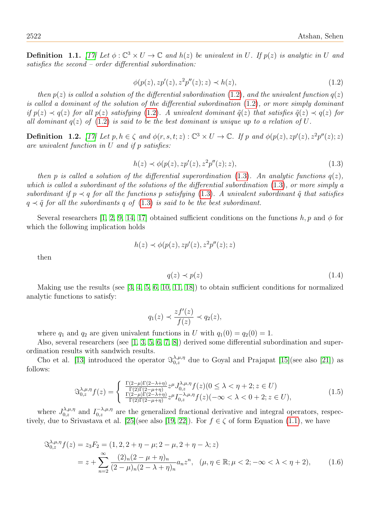**Definition** 1.1. [\[17\]](#page-9-0) Let  $\phi : \mathbb{C}^3 \times U \to \mathbb{C}$  and  $h(z)$  be univalent in U. If  $p(z)$  is analytic in U and satisfies the second – order differential subordination:

<span id="page-1-0"></span>
$$
\phi(p(z), z p'(z), z^2 p''(z); z) \prec h(z), \tag{1.2}
$$

then  $p(z)$  is called a solution of the differential subordination [\(1.2\)](#page-1-0), and the univalent function  $q(z)$ is called a dominant of the solution of the differential subordination [\(1.2\)](#page-1-0), or more simply dominant if  $p(z) \prec q(z)$  for all  $p(z)$  satisfying [\(1.2\)](#page-1-0). A univalent dominant  $\tilde{q}(z)$  that satisfies  $\tilde{q}(z) \prec q(z)$  for all dominant  $q(z)$  of  $(1.2)$  is said to be the best dominant is unique up to a relation of U.

**Definition** 1.2. [\[17\]](#page-9-0) Let  $p, h \in \zeta$  and  $\phi(r, s, t; z): \mathbb{C}^3 \times U \to \mathbb{C}$ . If  $p$  and  $\phi(p(z), zp'(z), z^2p''(z); z)$ are univalent function in U and if p satisfies:

<span id="page-1-1"></span>
$$
h(z) \prec \phi(p(z), z p'(z), z^2 p''(z); z), \qquad (1.3)
$$

then p is called a solution of the differential superordination [\(1.3\)](#page-1-1). An analytic functions  $q(z)$ , which is called a subordinant of the solutions of the differential subordination [\(1.3\)](#page-1-1), or more simply a subordinant if  $p \prec q$  for all the functions p satisfying [\(1.3\)](#page-1-1). A univalent subordinant  $\tilde{q}$  that satisfies  $q \prec \tilde{q}$  for all the subordinants q of [\(1.3\)](#page-1-1) is said to be the best subordinant.

Several researchers [\[1,](#page-8-0) [2,](#page-8-1) [9,](#page-8-2) [14,](#page-9-2) [17\]](#page-9-0) obtained sufficient conditions on the functions h, p and  $\phi$  for which the following implication holds

$$
h(z) \prec \phi(p(z), z p'(z), z^2 p''(z); z)
$$

then

$$
q(z) \prec p(z) \tag{1.4}
$$

Making use the results (see [\[3,](#page-8-3) [4,](#page-8-4) [5,](#page-8-5) [6,](#page-8-6) [10,](#page-8-7) [11,](#page-9-3) [18\]](#page-9-1)) to obtain sufficient conditions for normalized analytic functions to satisfy:

$$
q_1(z) \prec \frac{zf'(z)}{f(z)} \prec q_2(z),
$$

where  $q_1$  and  $q_2$  are given univalent functions in U with  $q_1(0) = q_2(0) = 1$ .

Also, several researchers (see [\[1,](#page-8-0) [3,](#page-8-3) [5,](#page-8-5) [6,](#page-8-6) [7,](#page-8-8) [8\]](#page-8-9)) derived some differential subordination and superordination results with sandwich results.

Cho et al. [\[13\]](#page-9-4) introduced the operator  $\Im_{0,z}^{\lambda,\mu,\eta}$  due to Goyal and Prajapat [\[15\]](#page-9-5)(see also [\[21\]](#page-9-6)) as follows:

$$
\mathcal{S}_{0,z}^{\lambda,\mu,\eta}f(z) = \begin{cases} \frac{\Gamma(2-\mu)\Gamma(2-\lambda+\eta)}{\Gamma(2)\Gamma(2-\mu+\eta)} z^{\mu} J_{0,z}^{\lambda,\mu,\eta} f(z) (0 \le \lambda < \eta+2; z \in U) \\ \frac{\Gamma(2-\mu)\Gamma(2-\lambda+\eta)}{\Gamma(2)\Gamma(2-\mu+\eta)} z^{\mu} I_{0,z}^{-\lambda,\mu,\eta} f(z) (-\infty < \lambda < 0+2; z \in U), \end{cases} \tag{1.5}
$$

where  $J_{0,z}^{\lambda,\mu,\eta}$  and  $I_{0,z}^{-\lambda,\mu,\eta}$  are the generalized fractional derivative and integral operators, respec-tively, due to Srivastava et al. [\[25\]](#page-9-7)(see also [\[19,](#page-9-8) [22\]](#page-9-9)). For  $f \in \zeta$  of form Equation [\(1.1\)](#page-0-0), we have

$$
\mathfrak{S}_{0,z}^{\lambda,\mu,\eta}f(z) = z_3 F_2 = (1, 2, 2 + \eta - \mu; 2 - \mu, 2 + \eta - \lambda; z)
$$
  
=  $z + \sum_{n=2}^{\infty} \frac{(2)_n (2 - \mu + \eta)_n}{(2 - \mu)_n (2 - \lambda + \eta)_n} a_n z^n, \quad (\mu, \eta \in \mathbb{R}; \mu < 2; -\infty < \lambda < \eta + 2),$  (1.6)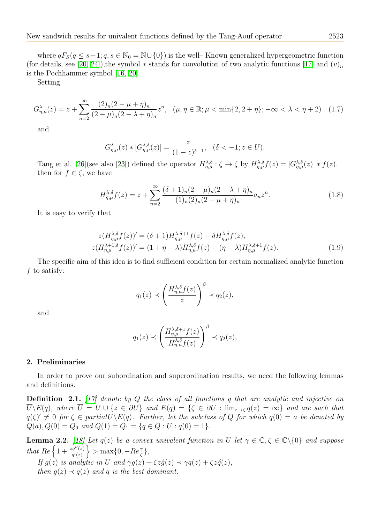where  $qF_S(q \leq s+1; q, s \in \mathbb{N}_0 = \mathbb{N} \cup \{0\})$  is the well– Known generalized hypergeometric function (for details, see [\[20,](#page-9-10) [24\]](#page-9-11)),the symbol  $*$  stands for convolution of two analytic functions [\[17\]](#page-9-0) and  $(v)_n$ is the Pochhammer symbol [\[16,](#page-9-12) [20\]](#page-9-10).

Setting

$$
G_{\eta,\mu}^{\lambda}(z) = z + \sum_{n=2}^{\infty} \frac{(2)_n (2 - \mu + \eta)_n}{(2 - \mu)_n (2 - \lambda + \eta)_n} z^n, \quad (\mu, \eta \in \mathbb{R}; \mu < \min\{2, 2 + \eta\}; -\infty < \lambda < \eta + 2)
$$
 (1.7)

and

$$
G_{\eta,\mu}^{\lambda}(z) * [G_{\eta,\mu}^{\lambda,\delta}(z)] = \frac{z}{(1-z)^{\delta+1}}, \quad (\delta < -1; z \in U).
$$

Tang et al. [\[26\]](#page-9-13)(see also [\[23\]](#page-9-14)) defined the operator  $H_{\eta,\mu}^{\lambda,\delta}$ :  $\zeta \to \zeta$  by  $H_{\eta,\mu}^{\lambda,\delta}f(z) = [G_{\eta,\mu}^{\lambda,\delta}(z)] * f(z)$ . then for  $f \in \zeta$ , we have

$$
H_{\eta,\mu}^{\lambda,\delta}f(z) = z + \sum_{n=2}^{\infty} \frac{(\delta+1)_n(2-\mu)_n(2-\lambda+\eta)_n}{(1)_n(2)_n(2-\mu+\eta)_n} a_n z^n.
$$
 (1.8)

It is easy to verify that

$$
z(H_{\eta,\mu}^{\lambda,\delta}f(z))' = (\delta+1)H_{\eta,\mu}^{\lambda,\delta+1}f(z) - \delta H_{\eta,\mu}^{\lambda,\delta}f(z),
$$
  
\n
$$
z(H_{\eta,\mu}^{\lambda+1,\delta}f(z))' = (1+\eta-\lambda)H_{\eta,\mu}^{\lambda,\delta}f(z) - (\eta-\lambda)H_{\eta,\mu}^{\lambda,\delta+1}f(z).
$$
\n(1.9)

The specific aim of this idea is to find sufficient condition for certain normalized analytic function f to satisfy:

<span id="page-2-0"></span>
$$
q_1(z) \prec \left(\frac{H_{\eta,\mu}^{\lambda,\delta}f(z)}{z}\right)^{\beta} \prec q_2(z),
$$

and

$$
q_1(z) \prec \left(\frac{H_{\eta,\mu}^{\lambda,\delta+1}f(z)}{H_{\eta,\mu}^{\lambda,\delta}f(z)}\right)^{\beta} \prec q_2(z),
$$

#### 2. Preliminaries

In order to prove our subordination and superordination results, we need the following lemmas and definitions.

Definition 2.1. [\[17\]](#page-9-0) denote by Q the class of all functions q that are analytic and injective on  $\overline{U}\backslash E(q)$ , where  $\overline{U} = U \cup \{z \in \partial U\}$  and  $E(q) = \{\zeta \in \partial U : \lim_{z\to\zeta} q(z) = \infty\}$  and are such that  $q(\zeta)' \neq 0$  for  $\zeta \in partialU \backslash E(q)$ . Further, let the subclass of Q for which  $q(0) = a$  be denoted by  $Q(a), Q(0) = Q_0$  and  $Q(1) = Q_1 = \{q \in Q : U : q(0) = 1\}.$ 

<span id="page-2-2"></span><span id="page-2-1"></span>**Lemma 2.2.** [\[18\]](#page-9-1) Let  $q(z)$  be a convex univalent function in U let  $\gamma \in \mathbb{C}, \zeta \in \mathbb{C} \setminus \{0\}$  and suppose that  $Re\left\{1+\frac{zq''(z)}{q'(z)}\right\} > \max\{0, -Re\frac{\gamma}{\zeta}\},\$ If  $g(z)$  is analytic in U and  $\gamma g(z) + \zeta z \dot{g}(z) \prec \gamma q(z) + \zeta z \dot{q}(z)$ , then  $g(z) \prec q(z)$  and q is the best dominant.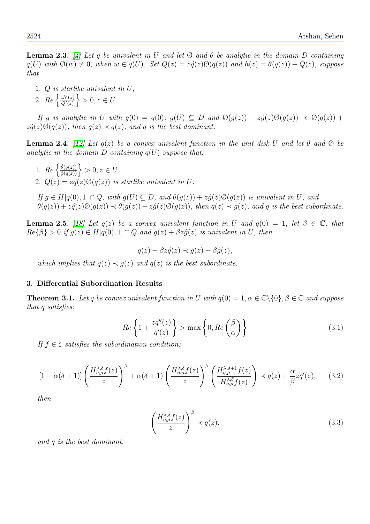**Lemma 2.3.** [\[4\]](#page-8-4) Let q be univalent in U and let  $\emptyset$  and  $\theta$  be analytic in the domain D containing  $q(U)$  with  $\emptyset(w) \neq 0$ , when  $w \in q(U)$ . Set  $Q(z) = zq(z)\emptyset(q(z))$  and  $h(z) = \theta(q(z)) + Q(z)$ , suppose that

- 1. Q is starlike univalent in U,
- 2.  $Re \left\{ \frac{zh'(z)}{Q'(z)} \right\}$  $\left\{\frac{zh'(z)}{Q'(z)}\right\} > 0, z \in U.$

If g is analytic in U with  $g(0) = q(0)$ ,  $g(U) \subseteq D$  and  $\mathcal{O}(g(z)) + z\acute{g}(z)\mathcal{O}(g(z)) \prec \mathcal{O}(q(z)) +$  $z\acute{q}(z)\mathcal{O}(q(z))$ , then  $q(z) \prec q(z)$ , and q is the best dominant.

<span id="page-3-4"></span>**Lemma 2.4.** [\[12\]](#page-9-15) Let  $q(z)$  be a convex univalent function in the unit disk U and let  $\theta$  and  $\varnothing$  be analytic in the domain  $D$  containing  $q(U)$  suppose that:

1.  $Re\left\{\frac{\dot{\theta}(q(z))}{\phi(q(z))}\right\} > 0, z \in U.$ 2.  $Q(z) = z\acute{q}(z)Q(q(z))$  is starlike univalent in U.

If  $g \in H[q(0), 1] \cap Q$ , with  $g(U) \subseteq D$ , and  $\theta(g(z)) + z\acute{g}(z)\Theta(g(z))$  is univalent in U, and  $\theta(q(z)) + zq(z)\Theta(q(z)) \prec \theta(q(z)) + zq(z)\Theta(q(z))$ , then  $q(z) \prec q(z)$ , and q is the best subordinate.

<span id="page-3-3"></span>**Lemma 2.5.** [\[18\]](#page-9-1) Let  $q(z)$  be a convex univalent function in U and  $q(0) = 1$ , let  $\beta \in \mathbb{C}$ , that  $Re\{\beta\} > 0$  if  $g(z) \in H[q(0),1] \cap Q$  and  $g(z) + \beta z \hat{g}(z)$  is univalent in U, then

$$
q(z) + \beta z \acute{q}(z) \prec g(z) + \beta \acute{g}(z),
$$

which implies that  $q(z) \prec q(z)$  and  $q(z)$  is the best subordinate.

## 3. Differential Subordination Results

<span id="page-3-2"></span>**Theorem 3.1.** Let q be convex univalent function in U with  $q(0) = 1, \alpha \in \mathbb{C} \setminus \{0\}, \beta \in \mathbb{C}$  and suppose that q satisfies:

$$
Re\left\{1+\frac{zq''(z)}{q'(z)}\right\} > \max\left\{0, Re\left(\frac{\beta}{\alpha}\right)\right\}
$$
\n(3.1)

If  $f \in \zeta$  satisfies the subordination condition:

<span id="page-3-0"></span>
$$
\left[1-\alpha(\delta+1)\right] \left(\frac{H_{\eta,\mu}^{\lambda,\delta}f(z)}{z}\right)^{\beta} + \alpha(\delta+1) \left(\frac{H_{\eta,\mu}^{\lambda,\delta}f(z)}{z}\right)^{\beta} \left(\frac{H_{\eta,\mu}^{\lambda,\delta+1}f(z)}{H_{\eta,\mu}^{\lambda,\delta}f(z)}\right) \prec q(z) + \frac{\alpha}{\beta}zq'(z),\tag{3.2}
$$

then

<span id="page-3-1"></span>
$$
\left(\frac{H_{\eta,\mu}^{\lambda,\delta}f(z)}{z}\right)^{\beta} \prec q(z),\tag{3.3}
$$

and q is the best dominant.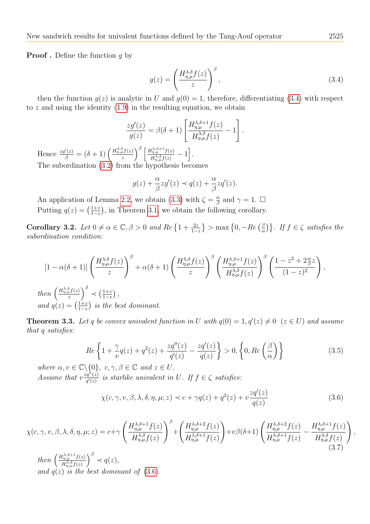**Proof**. Define the function  $q$  by

<span id="page-4-0"></span>
$$
g(z) = \left(\frac{H_{\eta,\mu}^{\lambda,\delta}f(z)}{z}\right)^{\beta},\tag{3.4}
$$

then the function  $q(z)$  is analytic in U and  $q(0) = 1$ , therefore, differentiating [\(3.4\)](#page-4-0) with respect to  $z$  and using the identity  $(1.9)$  in the resulting equation, we obtain

$$
\frac{zg'(z)}{g(z)} = \beta(\delta+1) \left[ \frac{H_{\eta,\mu}^{\lambda,\delta+1} f(z)}{H_{\eta,\mu}^{\lambda,\delta} f(z)} - 1 \right].
$$

Hence  $\frac{zg'(z)}{\beta} = (\delta + 1) \left( \frac{H_{\eta,\mu}^{\lambda,\delta} f(z)}{z} \right)$  $\left(\frac{\delta_{\mu}f(z)}{z}\right)^{\beta} \left[\frac{H^{\lambda,\delta+1}_{\eta,\mu}f(z)}{H^{\lambda,\delta}_{\eta,\mu}f(z)}\right]$  $\frac{H_{\eta,\mu}^{\lambda,\delta+1}f(z)}{H_{\eta,\mu}^{\lambda,\delta}f(z)}-1\Big].$ The subordination [\(3.2\)](#page-3-0) from the hypothesis becomes

$$
g(z) + \frac{\alpha}{\beta} z g'(z) \prec q(z) + \frac{\alpha}{\beta} z q'(z).
$$

An application of Lemma [2.2,](#page-2-1) we obtain [\(3.3\)](#page-3-1) with  $\zeta = \frac{\alpha}{\beta}$  $\frac{\alpha}{\beta}$  and  $\gamma = 1$ .  $\Box$ Putting  $q(z) = \left(\frac{1+z}{1-z}\right)$  $\frac{1+z}{1-z}$ , in Theorem [3.1,](#page-3-2) we obtain the following corollary.

Corollary 3.2. Let  $0 \neq \alpha \in \mathbb{C}, \beta > 0$  and  $Re\left\{1 + \frac{2z}{1-z}\right\} > \max\left\{0, -Re\left(\frac{\beta}{\alpha}\right)\right\}$  $\left\{ \frac{\beta}{\alpha} \right\}$ . If  $f \in \zeta$  satisfies the subordination condition:

$$
[1 - \alpha(\delta + 1)] \left( \frac{H_{\eta,\mu}^{\lambda,\delta} f(z)}{z} \right)^{\beta} + \alpha(\delta + 1) \left( \frac{H_{\eta,\mu}^{\lambda,\delta} f(z)}{z} \right)^{\beta} \left( \frac{H_{\eta,\mu}^{\lambda,\delta+1} f(z)}{H_{\eta,\mu}^{\lambda,\delta} f(z)} \right)^{\beta} \left( \frac{1 - z^2 + 2\frac{\alpha}{\beta} z}{(1 - z)^2} \right),
$$
  
then  $\left( \frac{H_{\eta,\mu}^{\lambda,\delta} f(z)}{z} \right)^{\beta} \prec \left( \frac{1+z}{1-z} \right)$ ,  
and  $q(z) = \left( \frac{1+z}{1-z} \right)$  is the best dominant.

<span id="page-4-3"></span>**Theorem 3.3.** Let q be convex univalent function in U with  $q(0) = 1, q'(z) \neq 0 \ (z \in U)$  and assume that q satisfies:

$$
Re\left\{1+\frac{\gamma}{v}q(z)+q^2(z)+\frac{zq''(z)}{q'(z)}-\frac{zq'(z)}{q(z)}\right\}>0, \left\{0, Re\left(\frac{\beta}{\alpha}\right)\right\}
$$
(3.5)

where  $\alpha, v \in \mathbb{C} \backslash \{0\}, c, \gamma, \beta \in \mathbb{C}$  and  $z \in U$ . Assume that  $v \frac{zq''(z)}{q'(z)}$  $\frac{q''(z)}{q'(z)}$  is starlike univalent in U. If  $f \in \zeta$  satisfies:

<span id="page-4-1"></span>
$$
\chi(c,\gamma,v,\beta,\lambda,\delta,\eta,\mu;z) \prec c + \gamma q(z) + q^2(z) + v \frac{zq'(z)}{q(z)}
$$
\n(3.6)

<span id="page-4-2"></span>
$$
\chi(c,\gamma,\upsilon,\beta,\lambda,\delta,\eta,\mu;z) = c + \gamma \left(\frac{H_{\eta,\mu}^{\lambda,\delta+1}f(z)}{H_{\eta,\mu}^{\lambda,\delta}f(z)}\right)^{\beta} + \left(\frac{H_{\eta,\mu}^{\lambda,\delta+2}f(z)}{H_{\eta,\mu}^{\lambda,\delta+1}f(z)}\right) + \upsilon\beta(\delta+1) \left(\frac{H_{\eta,\mu}^{\lambda,\delta+2}f(z)}{H_{\eta,\mu}^{\lambda,\delta+1}f(z)} - \frac{H_{\eta,\mu}^{\lambda,\delta+1}f(z)}{H_{\eta,\mu}^{\lambda,\delta}f(z)}\right),\tag{3.7}
$$

then  $\left(\frac{H_{\eta,\mu}^{\lambda,\delta+1}f(z)}{H_{\eta,\delta}^{\lambda,\delta}f(z)}\right)$  $H_{\eta,\mu}^{\lambda,\delta}f(z)$  $\big)$ <sup>β</sup>  $\prec q(z)$ , and  $q(z)$  is the best dominant of  $(3.6)$ .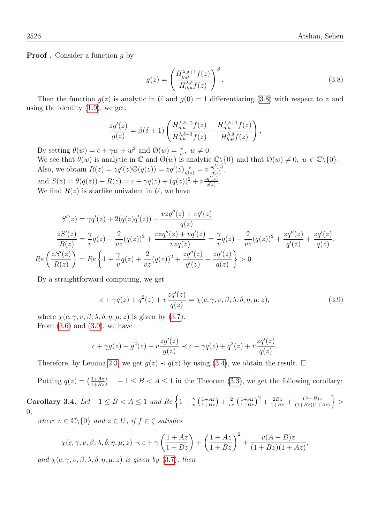**Proof**. Consider a function g by

<span id="page-5-0"></span>
$$
g(z) = \left(\frac{H_{\eta,\mu}^{\lambda,\delta+1}f(z)}{H_{\eta,\mu}^{\lambda,\delta}f(z)}\right)^{\beta}.
$$
\n(3.8)

Then the function  $q(z)$  is analytic in U and  $q(0) = 1$  differentiating [\(3.8\)](#page-5-0) with respect to z and using the identity [\(1.9\)](#page-2-0), we get,

$$
\frac{zg'(z)}{g(z)} = \beta(\delta+1) \left( \frac{H_{\eta,\mu}^{\lambda,\delta+2} f(z)}{H_{\eta,\mu}^{\lambda,\delta+1} f(z)} - \frac{H_{\eta,\mu}^{\lambda,\delta+1} f(z)}{H_{\eta,\mu}^{\lambda,\delta} f(z)} \right),
$$

By setting  $\theta(w) = c + \gamma w + w^2$  and  $\varnothing(w) = \frac{v}{w}$ ,  $w \neq 0$ . We see that  $\theta(w)$  is analytic in  $\mathbb C$  and  $\emptyset(w)$  is analytic  $\mathbb C\setminus\{0\}$  and that  $\emptyset(w) \neq 0, w \in \mathbb C\setminus\{0\}.$ Also, we obtain  $R(z) = zq'(z) \mathcal{O}(q(z)) = zq'(z) \frac{v}{q(z)} = v \frac{zq'(z)}{q(z)}$  $rac{q(z)}{q(z)},$ and  $S(z) = \theta(q(z)) + R(z) = c + \gamma q(z) + (q(z))^2 + v \frac{zq'(z)}{q(z)}$  $rac{q'(z)}{q(z)}$  . We find  $R(z)$  is starlike univalent in U, we have

$$
S'(z) = \gamma q'(z) + 2(q(z)q'(z)) + \frac{vzq''(z) + vq'(z)}{q(z)}
$$
  

$$
\frac{zS'(z)}{R(z)} = \frac{\gamma}{v}q(z) + \frac{2}{vz}(q(z))^2 + \frac{vzq''(z) + vq'(z)}{vzq(z)} = \frac{\gamma}{v}q(z) + \frac{2}{vz}(q(z))^2 + \frac{zq''(z)}{q'(z)} + \frac{zq'(z)}{q(z)},
$$
  

$$
Re\left(\frac{zS'(z)}{R(z)}\right) = Re\left\{1 + \frac{\gamma}{v}q(z) + \frac{2}{vz}(q(z))^2 + \frac{zq''(z)}{q'(z)} + \frac{zq'(z)}{q(z)}\right\} > 0.
$$

By a straightforward computing, we get

<span id="page-5-1"></span>
$$
c + \gamma q(z) + q^2(z) + v \frac{zq'(z)}{q(z)} = \chi(c, \gamma, v, \beta, \lambda, \delta, \eta, \mu; z),
$$
\n(3.9)

where  $\chi(c, \gamma, v, \beta, \lambda, \delta, \eta, \mu; z)$  is given by [\(3.7\)](#page-4-2). From  $(3.6)$  and  $(3.9)$ , we have

$$
c + \gamma g(z) + g^2(z) + v \frac{z g'(z)}{g(z)} \prec c + \gamma q(z) + q^2(z) + v \frac{z q'(z)}{q(z)}.
$$

Therefore, by Lemma [2.3,](#page-2-2) we get  $g(z) \prec q(z)$  by using [\(3.4\)](#page-4-0), we obtain the result.  $\Box$ 

Putting  $q(z) = \left(\frac{1+Az}{1+Bz}\right) - 1 \leq B < A \leq 1$  in the Theorem [\(3.3\)](#page-4-3), we get the following corollary:

Corollary 3.4. Let  $-1 \leq B < A \leq 1$  and  $Re\left\{1+\frac{\gamma}{v}\left(\frac{1+Az}{1+Bz}\right)+\frac{2}{vz}\left(\frac{1+Az}{1+Bz}\right)^2+\frac{2Bz}{1+Bz}+\frac{(A-B)z}{(1+Bz)(1+Bz)}\right\}$  $\frac{(A-B)z}{(1+Bz)(1+Az)}$  > 0,

where  $v \in \mathbb{C} \backslash \{0\}$  and  $z \in U$ , if  $f \in \zeta$  satisfies

$$
\chi(c,\gamma,v,\beta,\lambda,\delta,\eta,\mu;z) \prec c + \gamma \left(\frac{1+Az}{1+Bz}\right) + \left(\frac{1+Az}{1+Bz}\right)^2 + \frac{v(A-B)z}{(1+Bz)(1+Az)},
$$

and  $\chi(c, \gamma, v, \beta, \lambda, \delta, \eta, \mu; z)$  is given by [\(3.7\)](#page-4-2), then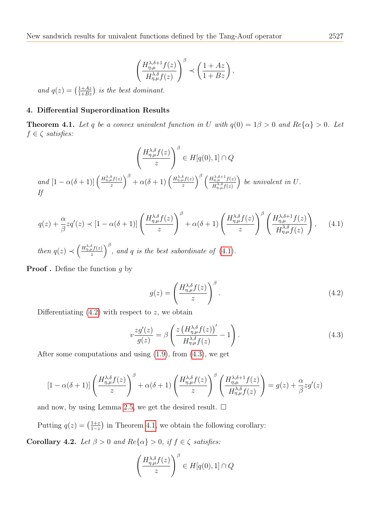$$
\left(\frac{H_{\eta,\mu}^{\lambda,\delta+1}f(z)}{H_{\eta,\mu}^{\lambda,\delta}f(z)}\right)^\beta\prec \left(\frac{1+Az}{1+Bz}\right),
$$

and  $q(z) = \left(\frac{1+Az}{1+Bz}\right)$  is the best dominant.

### 4. Differential Superordination Results

<span id="page-6-3"></span>**Theorem 4.1.** Let q be a convex univalent function in U with  $q(0) = 1\beta > 0$  and  $Re\{\alpha\} > 0$ . Let  $f \in \zeta$  satisfies:

$$
\left(\frac{H_{\eta,\mu}^{\lambda,\delta}f(z)}{z}\right)^{\beta}\in H[q(0),1]\cap Q
$$

and  $[1-\alpha(\delta+1)]\left(\frac{H_{\eta,\mu}^{\lambda,\delta}f(z)}{z}\right)$  $\left(\frac{\delta_{\mu}f(z)}{z}\right)^{\beta}+\alpha(\delta+1)\left(\frac{H^{\lambda,\delta}_{\eta,\mu}f(z)}{z}\right)$  $\left(\frac{d}{dx}f(z)\right)^{\beta}\left(\frac{H^{\lambda,\delta+1}_{\eta,\mu}f(z)}{H^{\lambda,\delta}_{\eta,\delta}f(z)}\right)$  $H_{\eta,\mu}^{\lambda,\delta}f(z)$  $\big)$  be univalent in U. If

<span id="page-6-0"></span>
$$
q(z) + \frac{\alpha}{\beta} z q'(z) \prec [1 - \alpha(\delta + 1)] \left( \frac{H_{\eta,\mu}^{\lambda,\delta} f(z)}{z} \right)^{\beta} + \alpha(\delta + 1) \left( \frac{H_{\eta,\mu}^{\lambda,\delta} f(z)}{z} \right)^{\beta} \left( \frac{H_{\eta,\mu}^{\lambda,\delta+1} f(z)}{H_{\eta,\mu}^{\lambda,\delta} f(z)} \right), \quad (4.1)
$$

then  $q(z) \prec \left(\frac{H_{\eta,\mu}^{\lambda,\delta}f(z)}{z}\right)$  $\left(\frac{\delta_{\mu}f(z)}{z}\right)^{\beta}$ , and q is the best subordinate of [\(4.1\)](#page-6-0).

**Proof**. Define the function  $q$  by

<span id="page-6-1"></span>
$$
g(z) = \left(\frac{H_{\eta,\mu}^{\lambda,\delta}f(z)}{z}\right)^{\beta}.
$$
\n(4.2)

Differentiating  $(4.2)$  with respect to z, we obtain

<span id="page-6-2"></span>
$$
v\frac{zg'(z)}{g(z)} = \beta \left( \frac{z \left( H_{\eta,\mu}^{\lambda,\delta} f(z) \right)'}{H_{\eta,\mu}^{\lambda,\delta} f(z)} - 1 \right). \tag{4.3}
$$

After some computations and using [\(1.9\)](#page-2-0), from [\(4.3\)](#page-6-2), we get

$$
[1 - \alpha(\delta + 1)] \left( \frac{H_{\eta,\mu}^{\lambda,\delta} f(z)}{z} \right)^{\beta} + \alpha(\delta + 1) \left( \frac{H_{\eta,\mu}^{\lambda,\delta} f(z)}{z} \right)^{\beta} \left( \frac{H_{\eta,\mu}^{\lambda,\delta+1} f(z)}{H_{\eta,\mu}^{\lambda,\delta} f(z)} \right) = g(z) + \frac{\alpha}{\beta} z g'(z)
$$

and now, by using Lemma [2.5,](#page-3-3) we get the desired result.  $\square$ 

Putting  $q(z) = \left(\frac{1+z}{1-z}\right)$  $\frac{1+z}{1-z}$  in Theorem [4.1,](#page-6-3) we obtain the following corollary:

Corollary 4.2. Let  $\beta > 0$  and  $Re\{\alpha\} > 0$ , if  $f \in \zeta$  satisfies:

$$
\left(\frac{H_{\eta,\mu}^{\lambda,\delta}f(z)}{z}\right)^{\beta} \in H[q(0),1] \cap Q
$$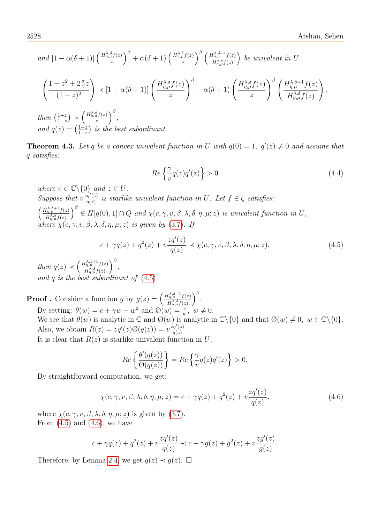and 
$$
[1 - \alpha(\delta + 1)] \left(\frac{H_{\eta,\mu}^{\lambda,\delta}f(z)}{z}\right)^{\beta} + \alpha(\delta + 1) \left(\frac{H_{\eta,\mu}^{\lambda,\delta}f(z)}{z}\right)^{\beta} \left(\frac{H_{\eta,\mu}^{\lambda,\delta+1}f(z)}{H_{\eta,\mu}^{\lambda,\delta}f(z)}\right)
$$
 be univalent in U.

$$
\left(\frac{1-z^2+2\frac{\alpha}{\beta}z}{(1-z)^2}\right) \prec [1-\alpha(\delta+1)] \left(\frac{H^{\lambda,\delta}_{\eta,\mu}f(z)}{z}\right)^{\beta} + \alpha(\delta+1) \left(\frac{H^{\lambda,\delta}_{\eta,\mu}f(z)}{z}\right)^{\beta} \left(\frac{H^{\lambda,\delta+1}_{\eta,\mu}f(z)}{H^{\lambda,\delta}_{\eta,\mu}f(z)}\right),
$$

then  $\left(\frac{1+z}{1-z}\right)$  $\frac{1+z}{1-z}\big) \prec \left(\frac{H^{\lambda,\delta}_{\eta,\mu}f(z)}{z}\right)$  $\frac{\delta_a f(z)}{z}\Big)^{\beta},$ and  $q(z) = \left(\frac{1+z}{1-z}\right)$  $\frac{1+z}{1-z}$ ) is the best subordinant.

**Theorem 4.3.** Let q be a convex univalent function in U with  $q(0) = 1$ ,  $q'(z) \neq 0$  and assume that q satisfies:

$$
Re\left\{\frac{\gamma}{v}q(z)q'(z)\right\} > 0\tag{4.4}
$$

where  $v \in \mathbb{C} \backslash \{0\}$  and  $z \in U$ . Suppose that  $v \frac{zq'(z)}{q(z)}$  $\frac{q(z)}{q(z)}$  is starlike univalent function in U. Let  $f \in \zeta$  satisfies:  $\int \frac{H^{\lambda,\delta+1}_{\eta,\mu}f(z)}{dt}$  $H_{\eta,\mu}^{\lambda,\delta}f(z)$  $\bigg\}^{\beta} \in H[q(0),1] \cap Q$  and  $\chi(c,\gamma,v,\beta,\lambda,\delta,\eta,\mu;z)$  is univalent function in U, where  $\chi(c, \gamma, v, \beta, \lambda, \delta, \eta, \mu; z)$  is given by [\(3.7\)](#page-4-2). If

<span id="page-7-0"></span>
$$
c + \gamma q(z) + q^2(z) + v \frac{zq'(z)}{q(z)} \prec \chi(c, \gamma, v, \beta, \lambda, \delta, \eta, \mu; z), \tag{4.5}
$$

then  $q(z) \prec \left(\frac{H_{\eta,\mu}^{\lambda,\delta+1}f(z)}{H_{\eta,\lambda,\delta,f(z)}}\right)$  $H_{\eta,\mu}^{\lambda,\delta}f(z)$  $\Big)^\beta,$ and  $q$  is the best subordinant of  $(4.5)$ .

**Proof** . Consider a function g by  $g(z) = \left(\frac{H_{\eta,\mu}^{\lambda,\delta+1} f(z)}{H_{\eta,\lambda,\delta,f(z)}}\right)$  $H_{\eta,\mu}^{\lambda,\delta}f(z)$  $\int^{\beta}$ . By setting:  $\theta(w) = c + \gamma w + w^2$  and  $\Theta(w) = \frac{v}{w}$ ,  $w \neq 0$ . We see that  $\theta(w)$  is analytic in  $\mathbb{C}$  and  $\mathcal{O}(w)$  is analytic in  $\mathbb{C}\backslash\{0\}$  and that  $\mathcal{O}(w) \neq 0, w \in \mathbb{C}\backslash\{0\}$ . Also, we obtain  $R(z) = zq'(z) \mathcal{O}(q(z)) = v \frac{zq'(z)}{q(z)}$  $rac{q'(z)}{q(z)}$ . It is clear that  $R(z)$  is starlike univalent function in U,

$$
Re\left\{\frac{\theta'(q(z))}{\emptyset(q(z))}\right\} = Re\left\{\frac{\gamma}{v}q(z)q'(z)\right\} > 0.
$$

By straightforward computation, we get:

<span id="page-7-1"></span>
$$
\chi(c,\gamma,v,\beta,\lambda,\delta,\eta,\mu;z) = c + \gamma q(z) + q^2(z) + v \frac{zq'(z)}{q(z)},\tag{4.6}
$$

where  $\chi(c, \gamma, v, \beta, \lambda, \delta, \eta, \mu; z)$  is given by [\(3.7\)](#page-4-2). From  $(4.5)$  and  $(4.6)$ , we have

$$
c + \gamma q(z) + q^2(z) + v \frac{zq'(z)}{q(z)} \prec c + \gamma g(z) + g^2(z) + v \frac{zg'(z)}{g(z)}.
$$

Therefore, by Lemma [2.4,](#page-3-4) we get  $q(z) \prec q(z)$ .  $\Box$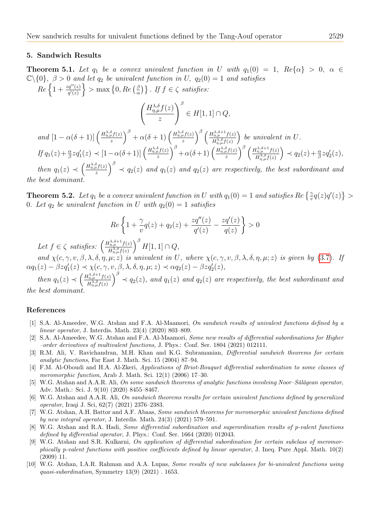#### 5. Sandwich Results

**Theorem 5.1.** Let  $q_1$  be a convex univalent function in U with  $q_1(0) = 1$ ,  $Re\{\alpha\} > 0$ ,  $\alpha \in$  $\mathbb{C}\backslash\{0\}$ ,  $\beta > 0$  and let  $q_2$  be univalent function in U,  $q_2(0) = 1$  and satisfies  $Re\left\{1+\frac{zq''(z)}{q'(z)}\right\} > \max\left\{0, Re\left(\frac{\beta}{\alpha}\right)\right\}$  $\left\{ \frac{\beta}{\alpha} \right\}$ . If  $f \in \zeta$  satisfies:

$$
\left(\frac{H_{\eta,\mu}^{\lambda,\delta}f(z)}{z}\right)^{\beta}\in H[1,1]\cap Q,
$$

and 
$$
\left[1 - \alpha(\delta + 1)\right] \left(\frac{H_{\eta,\mu}^{\lambda,\delta}f(z)}{z}\right)^{\beta} + \alpha(\delta + 1) \left(\frac{H_{\eta,\mu}^{\lambda,\delta}f(z)}{z}\right)^{\beta} \left(\frac{H_{\eta,\mu}^{\lambda,\delta+1}f(z)}{H_{\eta,\mu}^{\lambda,\delta}f(z)}\right) \text{ be univalent in } U.
$$
  
\nIf  $q_1(z) + \frac{\alpha}{\beta}zq'_1(z) \prec \left[1 - \alpha(\delta + 1)\right] \left(\frac{H_{\eta,\mu}^{\lambda,\delta}f(z)}{z}\right)^{\beta} + \alpha(\delta + 1) \left(\frac{H_{\eta,\mu}^{\lambda,\delta}f(z)}{z}\right)^{\beta} \left(\frac{H_{\eta,\mu}^{\lambda,\delta+1}f(z)}{H_{\eta,\mu}^{\lambda,\delta}f(z)}\right) \prec q_2(z) + \frac{\alpha}{\beta}zq'_2(z),$   
\nthen  $\alpha(z) \prec \left(\frac{H_{\eta,\mu}^{\lambda,\delta}f(z)}{Z}\right)^{\beta} \prec \alpha(z)$  and  $\alpha(z)$  and  $\alpha(z)$  are measurable, the best subgraph part and

then  $q_1(z) \prec \left(\frac{H_{\eta,\mu}^{\lambda,\delta}f(z)}{z}\right)$  $\left(\frac{d^2f(z)}{dz}\right)^{\beta} \prec q_2(z)$  and  $q_1(z)$  and  $q_2(z)$  are respectively, the best subordinant and the best dominant.

**Theorem 5.2.** Let  $q_1$  be a convex univalent function in U with  $q_1(0) = 1$  and satisfies  $Re\left\{\frac{\gamma}{v}q(z)q'(z)\right\} >$ 0. Let  $q_2$  be univalent function in U with  $q_2(0) = 1$  satisfies

$$
Re\left\{1+\frac{\gamma}{v}q(z)+q_2(z)+\frac{zq''(z)}{q'(z)}-\frac{zq'(z)}{q(z)}\right\}>0
$$

Let  $f \in \zeta$  satisfies:  $\left(\frac{H_{\eta,\mu}^{\lambda,\delta+1}f(z)}{H_{\eta,\delta,\delta}^{\lambda,\delta}f(z)}\right)$  $\frac{H_{\eta,\mu}^{\lambda,\delta+1}f(z)}{H_{\eta,\mu}^{\lambda,\delta}f(z)}\Big)^\beta\, H[1,1]\cap Q,$  $\hat{\eta}, \hat{\mu} f(z)$ 

and  $\chi(c, \gamma, v, \beta, \lambda, \delta, \eta, \mu; z)$  is univalent in U, where  $\chi(c, \gamma, v, \beta, \lambda, \delta, \eta, \mu; z)$  is given by [\(3.7\)](#page-4-2). If  $\alpha q_1(z) - \beta z q'_1(z) \prec \chi(c, \gamma, v, \beta, \lambda, \delta, \eta, \mu; z) \prec \alpha q_2(z) - \beta z q'_2(z),$ 

then  $q_1(z) \prec \left( \frac{H_{\eta,\mu}^{\lambda,\delta+1} f(z)}{H_{\eta,\delta}^{\lambda,\delta} f(z)} \right)$  $H_{\eta,\mu}^{\lambda,\delta}f(z)$  $\int_{0}^{\beta} \prec q_2(z)$ , and  $q_1(z)$  and  $q_2(z)$  are respectively, the best subordinant and the best dominant

#### References

- <span id="page-8-0"></span>[1] S.A. Al-Ameedee, W.G. Atshan and F.A. Al-Maamori, On sandwich results of univalent functions defined by a linear operator, J. Interdis. Math. 23(4) (2020) 803–809.
- <span id="page-8-1"></span>[2] S.A. Al-Ameedee, W.G. Atshan and F.A. Al-Maamori, Some new results of differential subordinations for Higher –order derivatives of multivalent functions, J. Phys.: Conf. Ser. 1804 (2021) 012111.
- <span id="page-8-3"></span>[3] R.M. Ali, V. Ravichandran, M.H. Khan and K.G. Subramanian, *Differential sandwich theorems for certain* analytic functions, Far East J. Math. Sci. 15 (2004) 87–94.
- <span id="page-8-4"></span>[4] F.M. Al-Oboudi and H.A. Al-Zkeri, Applications of Briot-Bouquet differential subordination to some classes of meromorphic function, Arab J. Math. Sci. 12(1) (2006) 17–30.
- <span id="page-8-5"></span>[5] W.G. Atshan and A.A.R. Ali, On some sandwich theorems of analytic functions involving Noor–Sălăgean operator, Adv. Math.: Sci. J. 9(10) (2020) 8455–8467.
- <span id="page-8-6"></span>[6] W.G. Atshan and A.A.R. Ali, On sandwich theorems results for certain univalent functions defined by generalized operator, Iraqi J. Sci, 62(7) (2021) 2376–2383.
- <span id="page-8-8"></span>[7] W.G. Atshan, A.H. Battor and A.F. Abaas, Some sandwich theorems for meromorphic univalent functions defined by new integral operator, J. Interdis. Math. 24(3) (2021) 579–591.
- <span id="page-8-9"></span>[8] W.G. Atshan and R.A. Hadi, Some differential subordination and superordination results of p-valent functions defined by differential operator, J. Phys.: Conf. Ser. 1664 (2020) 012043.
- <span id="page-8-2"></span>[9] W.G. Atshan and S.R. Kulkarni, On application of differential subordination for certain subclass of meromorphically p-valent functions with positive coefficients defined by linear operator, J. Ineq. Pure Appl. Math.  $10(2)$ (2009) 11.
- <span id="page-8-7"></span>[10] W.G. Atshan, I.A.R. Rahman and A.A. Lupas, Some results of new subclasses for bi-univalent functions using quasi-subordination, Symmetry 13(9) (2021) . 1653.